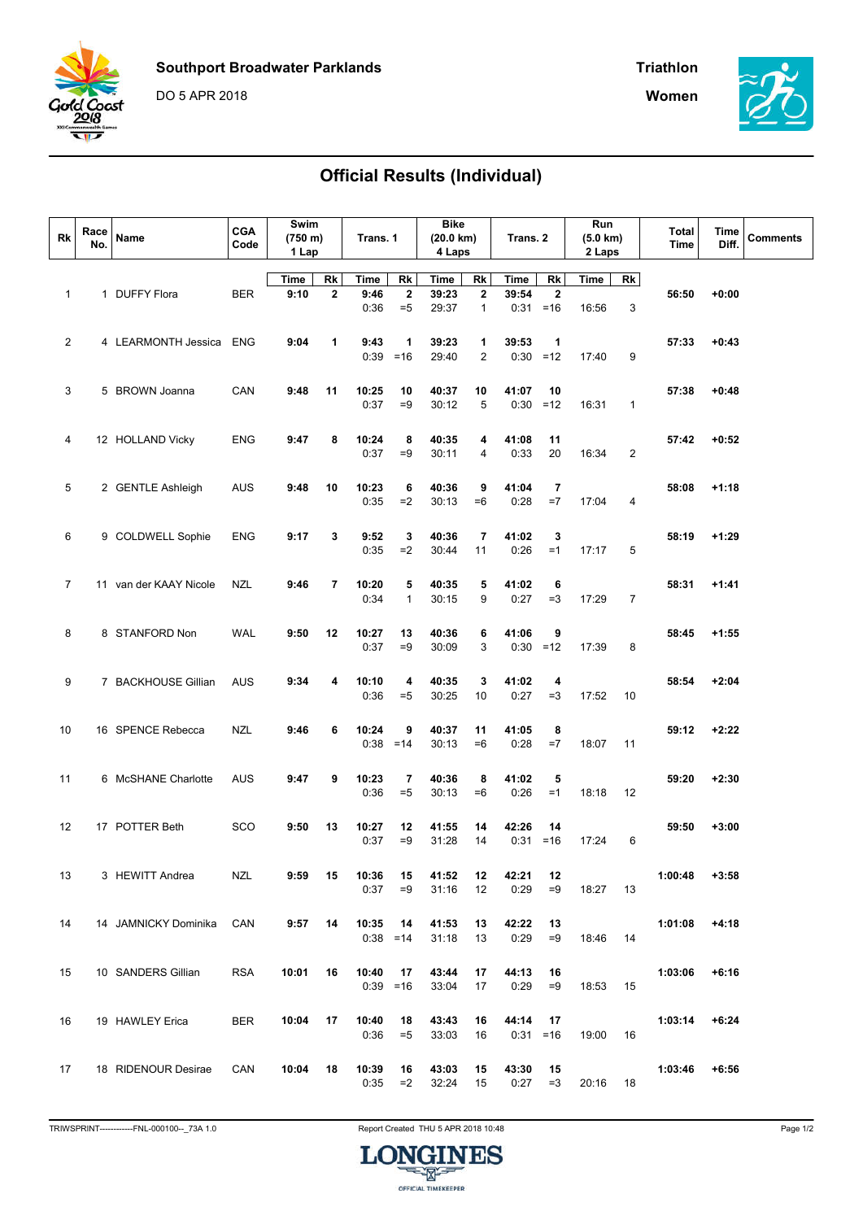





## Official Results (Individual)

| Rk             | Race<br>No. | Name                   | <b>CGA</b><br>Code | Swim<br>(750 m)<br>1 Lap |             | Trans. 1             |                         | Bike<br>$(20.0 \text{ km})$<br>4 Laps |                | Trans. 2      |             | Run<br>$(5.0 \text{ km})$<br>2 Laps |                | Total<br><b>Time</b> | Time<br>Diff. | <b>Comments</b> |
|----------------|-------------|------------------------|--------------------|--------------------------|-------------|----------------------|-------------------------|---------------------------------------|----------------|---------------|-------------|-------------------------------------|----------------|----------------------|---------------|-----------------|
|                |             |                        |                    | Time                     | Rk          | Time                 | Rk                      | <b>Time</b>                           | Rk             | Time          | Rk          | Time                                | Rk             |                      |               |                 |
| 1              |             | 1 DUFFY Flora          | <b>BER</b>         | 9:10                     | $\mathbf 2$ | 9:46                 | $\overline{\mathbf{2}}$ | 39:23                                 | $\mathbf{2}$   | 39:54         | $\mathbf 2$ |                                     |                | 56:50                | $+0:00$       |                 |
|                |             |                        |                    |                          |             | 0:36                 | $= 5$                   | 29:37                                 | $\mathbf{1}$   | 0:31          | $=16$       | 16:56                               | 3              |                      |               |                 |
|                |             |                        |                    |                          |             |                      |                         |                                       |                |               |             |                                     |                |                      |               |                 |
| $\overline{2}$ |             | 4 LEARMONTH Jessica    | <b>ENG</b>         | 9:04                     | 1           | 9:43                 | 1                       | 39:23                                 | 1              | 39:53         | 1           |                                     |                | 57:33                | $+0:43$       |                 |
|                |             |                        |                    |                          |             | 0:39                 | $=16$                   | 29:40                                 | $\overline{2}$ | 0:30          | $=12$       | 17:40                               | 9              |                      |               |                 |
|                |             |                        |                    |                          |             |                      |                         |                                       |                |               |             |                                     |                |                      |               |                 |
| 3              |             | 5 BROWN Joanna         | CAN                | 9:48                     | 11          | 10:25                | 10                      | 40:37                                 | 10             | 41:07         | 10          |                                     |                | 57:38                | $+0:48$       |                 |
|                |             |                        |                    |                          |             | 0:37                 | $=9$                    | 30:12                                 | 5              | 0:30          | $=12$       | 16:31                               | $\mathbf{1}$   |                      |               |                 |
|                |             |                        |                    |                          |             |                      |                         |                                       |                |               |             |                                     |                |                      |               |                 |
| 4              |             | 12 HOLLAND Vicky       | <b>ENG</b>         | 9:47                     | 8           | 10:24                | 8                       | 40:35                                 | 4              | 41:08         | 11          |                                     |                | 57:42                | $+0:52$       |                 |
|                |             |                        |                    |                          |             | 0:37                 | $=9$                    | 30:11                                 | 4              | 0:33          | 20          | 16:34                               | $\overline{2}$ |                      |               |                 |
|                |             |                        |                    |                          |             |                      |                         |                                       |                |               |             |                                     |                |                      |               |                 |
| 5              |             | 2 GENTLE Ashleigh      | <b>AUS</b>         | 9:48                     | 10          | 10:23<br>0:35        | 6<br>$=2$               | 40:36<br>30:13                        | 9<br>$=6$      | 41:04<br>0:28 | 7<br>$=7$   | 17:04                               | $\overline{4}$ | 58:08                | $+1:18$       |                 |
|                |             |                        |                    |                          |             |                      |                         |                                       |                |               |             |                                     |                |                      |               |                 |
| 6              |             | 9 COLDWELL Sophie      | <b>ENG</b>         | 9:17                     | 3           | 9:52                 | 3                       | 40:36                                 | $\overline{7}$ | 41:02         | 3           |                                     |                | 58:19                | $+1:29$       |                 |
|                |             |                        |                    |                          |             | 0:35                 | $=2$                    | 30:44                                 | 11             | 0:26          | $=1$        | 17:17                               | 5              |                      |               |                 |
|                |             |                        |                    |                          |             |                      |                         |                                       |                |               |             |                                     |                |                      |               |                 |
| $\overline{7}$ |             | 11 van der KAAY Nicole | NZL                | 9:46                     | 7           | 10:20                | 5                       | 40:35                                 | 5              | 41:02         | 6           |                                     |                | 58:31                | $+1:41$       |                 |
|                |             |                        |                    |                          |             | 0:34                 | $\mathbf{1}$            | 30:15                                 | 9              | 0:27          | $=3$        | 17:29                               | $\overline{7}$ |                      |               |                 |
|                |             |                        |                    |                          |             |                      |                         |                                       |                |               |             |                                     |                |                      |               |                 |
| 8              |             | 8 STANFORD Non         | <b>WAL</b>         | 9:50                     | 12          | 10:27                | 13                      | 40:36                                 | 6              | 41:06         | 9           |                                     |                | 58:45                | $+1:55$       |                 |
|                |             |                        |                    |                          |             | 0:37                 | $=9$                    | 30:09                                 | 3              | 0:30          | $=12$       | 17:39                               | 8              |                      |               |                 |
|                |             |                        |                    |                          |             |                      |                         |                                       |                |               |             |                                     |                |                      |               |                 |
| 9              |             | 7 BACKHOUSE Gillian    | <b>AUS</b>         | 9:34                     | 4           | 10:10                | 4                       | 40:35                                 | 3              | 41:02         | 4           |                                     |                | 58:54                | $+2:04$       |                 |
|                |             |                        |                    |                          |             | 0:36                 | $= 5$                   | 30:25                                 | 10             | 0:27          | $=3$        | 17:52                               | 10             |                      |               |                 |
|                |             |                        |                    |                          |             |                      |                         |                                       |                |               |             |                                     |                |                      |               |                 |
| 10             |             | 16 SPENCE Rebecca      | <b>NZL</b>         | 9:46                     | 6           | 10:24<br>$0:38 = 14$ | 9                       | 40:37<br>30:13                        | 11<br>$=6$     | 41:05<br>0:28 | 8<br>$=7$   | 18:07                               | 11             | 59:12                | $+2:22$       |                 |
|                |             |                        |                    |                          |             |                      |                         |                                       |                |               |             |                                     |                |                      |               |                 |
|                |             | 6 McSHANE Charlotte    |                    |                          | 9           | 10:23                | 7                       | 40:36                                 |                | 41:02         |             |                                     |                |                      |               |                 |
| 11             |             |                        | <b>AUS</b>         | 9:47                     |             | 0:36                 | $= 5$                   | 30:13                                 | 8<br>$=6$      | 0:26          | 5<br>$=1$   | 18:18                               | 12             | 59:20                | $+2:30$       |                 |
|                |             |                        |                    |                          |             |                      |                         |                                       |                |               |             |                                     |                |                      |               |                 |
| 12             |             | 17 POTTER Beth         | SCO                | 9:50                     | 13          | 10:27                | 12                      | 41:55                                 | 14             | 42:26         | 14          |                                     |                | 59:50                | $+3:00$       |                 |
|                |             |                        |                    |                          |             | 0:37                 | $=9$                    | 31:28                                 | 14             | 0:31          | $=16$       | 17:24                               | 6              |                      |               |                 |
|                |             |                        |                    |                          |             |                      |                         |                                       |                |               |             |                                     |                |                      |               |                 |
| 13             |             | 3 HEWITT Andrea        | NZL                | 9:59                     | 15          | 10:36                | 15                      | 41:52                                 | 12             | 42:21         | 12          |                                     |                | 1:00:48              | $+3:58$       |                 |
|                |             |                        |                    |                          |             | 0:37                 | $=9$                    | 31:16                                 | 12             | 0:29          | $=9$        | 18:27 13                            |                |                      |               |                 |
|                |             |                        |                    |                          |             |                      |                         |                                       |                |               |             |                                     |                |                      |               |                 |
| 14             |             | 14 JAMNICKY Dominika   | CAN                | 9:57                     | 14          | 10:35                | 14                      | 41:53                                 | 13             | 42:22         | 13          |                                     |                | 1:01:08              | $+4:18$       |                 |
|                |             |                        |                    |                          |             | $0:38 = 14$          |                         | 31:18                                 | 13             | 0:29          | $=9$        | 18:46 14                            |                |                      |               |                 |
|                |             |                        |                    |                          |             |                      |                         |                                       |                |               |             |                                     |                |                      |               |                 |
| 15             |             | 10 SANDERS Gillian     | <b>RSA</b>         | 10:01                    | 16          | 10:40<br>$0:39 = 16$ | 17                      | 43:44<br>33:04                        | 17<br>17       | 44:13<br>0:29 | 16<br>$=9$  | 18:53                               | 15             | 1:03:06              | $+6:16$       |                 |
|                |             |                        |                    |                          |             |                      |                         |                                       |                |               |             |                                     |                |                      |               |                 |
|                |             | 19 HAWLEY Erica        | <b>BER</b>         |                          | 17          | 10:40                |                         | 43:43                                 |                | 44:14         |             |                                     |                |                      | $+6:24$       |                 |
| 16             |             |                        |                    | 10:04                    |             | 0:36                 | 18<br>$= 5$             | 33:03                                 | 16<br>16       | $0:31 = 16$   | 17          | 19:00                               | - 16           | 1:03:14              |               |                 |
|                |             |                        |                    |                          |             |                      |                         |                                       |                |               |             |                                     |                |                      |               |                 |
| 17             |             | 18 RIDENOUR Desirae    | CAN                | 10:04                    | 18          | 10:39                | 16                      | 43:03                                 | 15             | 43:30         | 15          |                                     |                | 1:03:46              | $+6:56$       |                 |
|                |             |                        |                    |                          |             | 0:35                 | $=2$                    | 32:24                                 | 15             | 0:27          | $=3$        | 20:16 18                            |                |                      |               |                 |
|                |             |                        |                    |                          |             |                      |                         |                                       |                |               |             |                                     |                |                      |               |                 |